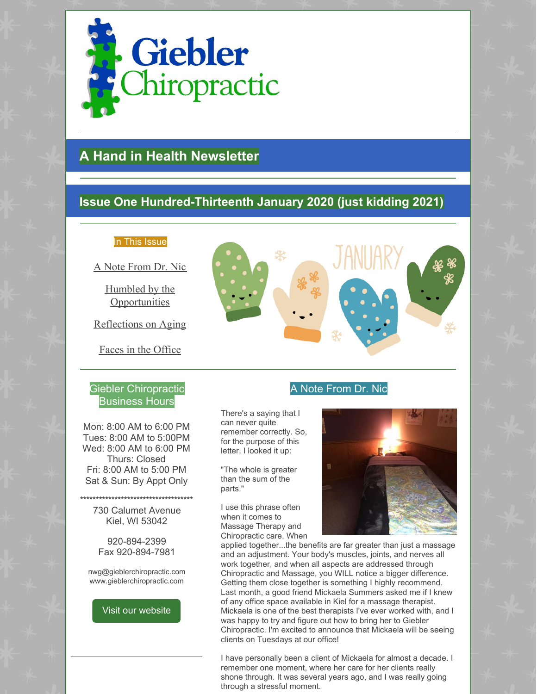

# **A Hand in Health Newsletter**

## **Issue One Hundred-Thirteenth January 2020 (just kidding 2021)**

## In This Issue

A Note From Dr. Nic

Humbled by the **Opportunities** 

Reflections on Aging

Faces in the Office

## Giebler Chiropractic Business Hours

Mon: 8:00 AM to 6:00 PM Tues: 8:00 AM to 5:00PM Wed: 8:00 AM to 6:00 PM Thurs: Closed Fri: 8:00 AM to 5:00 PM Sat & Sun: By Appt Only

**\*\*\*\*\*\*\*\*\*\*\*\*\*\*\*\*\*\*\*\*\*\*\*\*\*\*\*\*\*\*\*\*\*\*\*\*** 730 Calumet Avenue Kiel, WI 53042

> 920-894-2399 Fax 920-894-7981

nwg@gieblerchiropractic.com www.gieblerchiropractic.com

Visit our [website](http://www.gieblerchiropractic.com)



## A Note From Dr. Nic

There's a saying that I can never quite remember correctly. So, for the purpose of this letter, I looked it up:

"The whole is greater than the sum of the parts."

I use this phrase often when it comes to Massage Therapy and Chiropractic care. When



applied together...the benefits are far greater than just a massage and an adjustment. Your body's muscles, joints, and nerves all work together, and when all aspects are addressed through Chiropractic and Massage, you WILL notice a bigger difference. Getting them close together is something I highly recommend. Last month, a good friend Mickaela Summers asked me if I knew of any office space available in Kiel for a massage therapist. Mickaela is one of the best therapists I've ever worked with, and I was happy to try and figure out how to bring her to Giebler Chiropractic. I'm excited to announce that Mickaela will be seeing clients on Tuesdays at our office!

I have personally been a client of Mickaela for almost a decade. I remember one moment, where her care for her clients really shone through. It was several years ago, and I was really going through a stressful moment.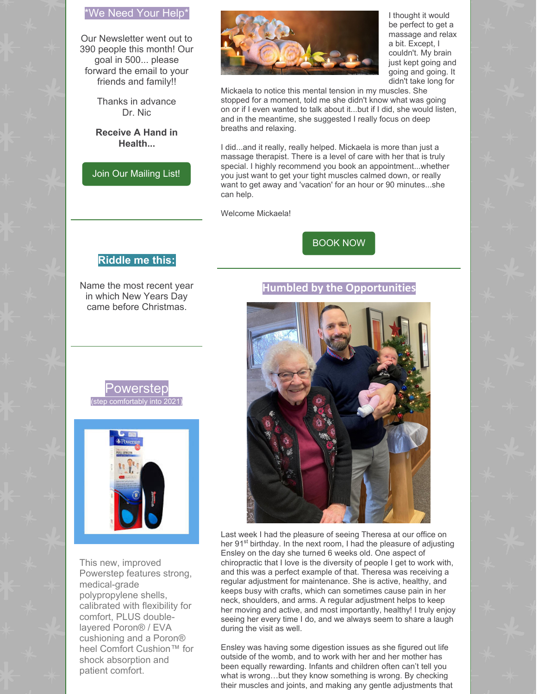## \*We Need Your Help\*

Our Newsletter went out to 390 people this month! Our goal in 500... please forward the email to your friends and family!!

> Thanks in advance Dr. Nic

**Receive A Hand in Health...**

Join Our [Mailing](http://www.gieblerchiropractic.com/newsletter/) List!



I thought it would be perfect to get a massage and relax a bit. Except, I couldn't. My brain just kept going and going and going. It didn't take long for

Mickaela to notice this mental tension in my muscles. She stopped for a moment, told me she didn't know what was going on or if I even wanted to talk about it...but if I did, she would listen, and in the meantime, she suggested I really focus on deep breaths and relaxing.

I did...and it really, really helped. Mickaela is more than just a massage therapist. There is a level of care with her that is truly special. I highly recommend you book an appointment...whether you just want to get your tight muscles calmed down, or really want to get away and 'vacation' for an hour or 90 minutes...she can help.

Welcome Mickaela!

[BOOK](https://square.site/book/8PP0X50CQZQY2/massage-therapy-by-mickaela) NOW

**Humbled by the Opportunities**

## **Riddle me this:**

Name the most recent year in which New Years Day came before Christmas.



Last week I had the pleasure of seeing Theresa at our office on her 91<sup>st</sup> birthday. In the next room, I had the pleasure of adjusting Ensley on the day she turned 6 weeks old. One aspect of chiropractic that I love is the diversity of people I get to work with, and this was a perfect example of that. Theresa was receiving a regular adjustment for maintenance. She is active, healthy, and keeps busy with crafts, which can sometimes cause pain in her neck, shoulders, and arms. A regular adjustment helps to keep her moving and active, and most importantly, healthy! I truly enjoy seeing her every time I do, and we always seem to share a laugh during the visit as well.

Ensley was having some digestion issues as she figured out life outside of the womb, and to work with her and her mother has been equally rewarding. Infants and children often can't tell you what is wrong…but they know something is wrong. By checking their muscles and joints, and making any gentle adjustments that

## Powerster comfortably into 20



This new, improved Powerstep features strong, medical-grade polypropylene shells, calibrated with flexibility for comfort, PLUS doublelayered Poron® / EVA cushioning and a Poron® heel Comfort Cushion™ for shock absorption and patient comfort.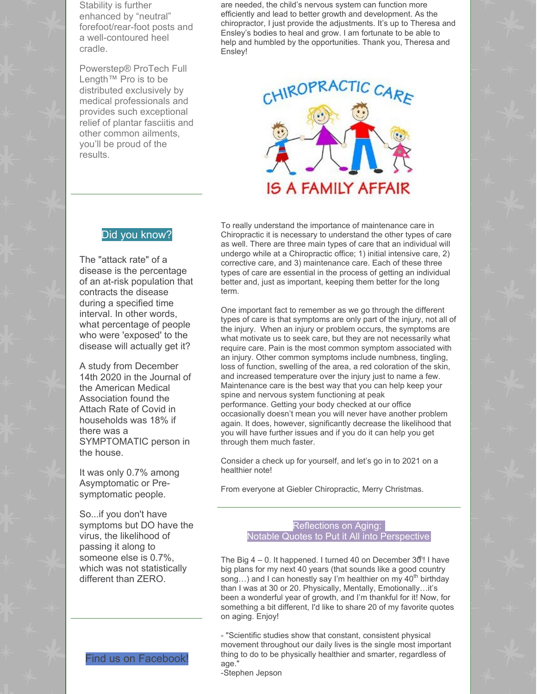Stability is further enhanced by "neutral" forefoot/rear-foot posts and a well-contoured heel cradle.

Powerstep® ProTech Full Length™ Pro is to be distributed exclusively by medical professionals and provides such exceptional relief of plantar fasciitis and other common ailments, you'll be proud of the results.

are needed, the child's nervous system can function more efficiently and lead to better growth and development. As the chiropractor, I just provide the adjustments. It's up to Theresa and Ensley's bodies to heal and grow. I am fortunate to be able to help and humbled by the opportunities. Thank you, Theresa and Ensley!



#### Did you know?

The "attack rate" of a disease is the percentage of an at-risk population that contracts the disease during a specified time interval. In other words, what percentage of people who were 'exposed' to the disease will actually get it?

A study from December 14th 2020 in the Journal of the American Medical Association found the Attach Rate of Covid in households was 18% if there was a SYMPTOMATIC person in the house.

It was only 0.7% among Asymptomatic or Presymptomatic people.

So...if you don't have symptoms but DO have the virus, the likelihood of passing it along to someone else is 0.7%, which was not statistically different than ZERO.



To really understand the importance of maintenance care in Chiropractic it is necessary to understand the other types of care as well. There are three main types of care that an individual will undergo while at a Chiropractic office; 1) initial intensive care, 2) corrective care, and 3) maintenance care. Each of these three types of care are essential in the process of getting an individual better and, just as important, keeping them better for the long term.

One important fact to remember as we go through the different types of care is that symptoms are only part of the injury, not all of the injury. When an injury or problem occurs, the symptoms are what motivate us to seek care, but they are not necessarily what require care. Pain is the most common symptom associated with an injury. Other common symptoms include numbness, tingling, loss of function, swelling of the area, a red coloration of the skin, and increased temperature over the injury just to name a few. Maintenance care is the best way that you can help keep your spine and nervous system functioning at peak performance. Getting your body checked at our office occasionally doesn't mean you will never have another problem again. It does, however, significantly decrease the likelihood that you will have further issues and if you do it can help you get through them much faster.

Consider a check up for yourself, and let's go in to 2021 on a healthier note!

From everyone at Giebler Chiropractic, Merry Christmas.

#### Reflections on Aging: Notable Quotes to Put it All into Perspective

The Big  $4-0$ . It happened. I turned 40 on December  $30$ <sup>t</sup>! I have big plans for my next 40 years (that sounds like a good country song...) and I can honestly say I'm healthier on my 40<sup>th</sup> birthday than I was at 30 or 20. Physically, Mentally, Emotionally…it's been a wonderful year of growth, and I'm thankful for it! Now, for something a bit different, I'd like to share 20 of my favorite quotes on aging. Enjoy!

- "Scientific studies show that constant, consistent physical movement throughout our daily lives is the single most important thing to do to be physically healthier and smarter, regardless of age."

-Stephen Jepson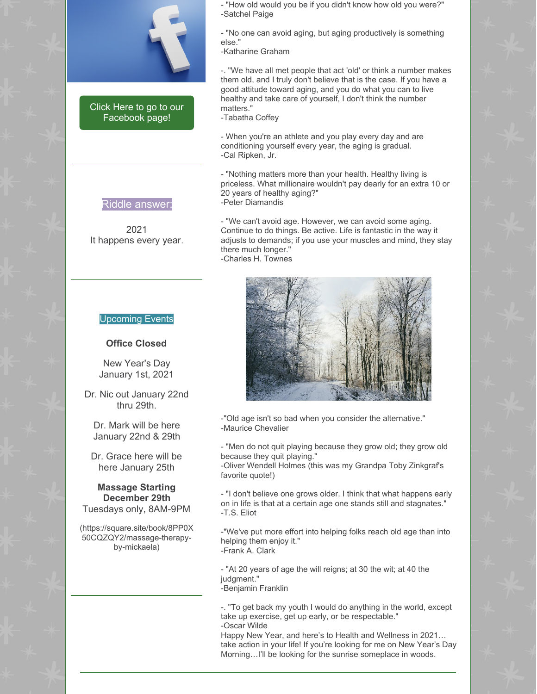

Click Here to go to our [Facebook](https://www.facebook.com/gieblerchiro/) page!

Riddle answer:

2021 It happens every year.

#### - "How old would you be if you didn't know how old you were?" -Satchel Paige

- "No one can avoid aging, but aging productively is something else."

-Katharine Graham

-. "We have all met people that act 'old' or think a number makes them old, and I truly don't believe that is the case. If you have a good attitude toward aging, and you do what you can to live healthy and take care of yourself, I don't think the number matters."

-Tabatha Coffey

- When you're an athlete and you play every day and are conditioning yourself every year, the aging is gradual. -Cal Ripken, Jr.

- "Nothing matters more than your health. Healthy living is priceless. What millionaire wouldn't pay dearly for an extra 10 or 20 years of healthy aging?" -Peter Diamandis

- "We can't avoid age. However, we can avoid some aging. Continue to do things. Be active. Life is fantastic in the way it adjusts to demands; if you use your muscles and mind, they stay there much longer." -Charles H. Townes



-"Old age isn't so bad when you consider the alternative." -Maurice Chevalier

- "Men do not quit playing because they grow old; they grow old because they quit playing."

-Oliver Wendell Holmes (this was my Grandpa Toby Zinkgraf's favorite quote!)

- "I don't believe one grows older. I think that what happens early on in life is that at a certain age one stands still and stagnates." -T.S. Eliot

-"We've put more effort into helping folks reach old age than into helping them enjoy it." -Frank A. Clark

- "At 20 years of age the will reigns; at 30 the wit; at 40 the judgment." -Benjamin Franklin

-. "To get back my youth I would do anything in the world, except take up exercise, get up early, or be respectable." -Oscar Wilde

Happy New Year, and here's to Health and Wellness in 2021… take action in your life! If you're looking for me on New Year's Day Morning…I'll be looking for the sunrise someplace in woods.

#### Upcoming Events

#### **Office Closed**

New Year's Day January 1st, 2021

Dr. Nic out January 22nd thru 29th.

Dr. Mark will be here January 22nd & 29th

Dr. Grace here will be here January 25th

## **Massage Starting December 29th**

Tuesdays only, 8AM-9PM

(https://square.site/book/8PP0X 50CQZQY2/massage-therapyby-mickaela)